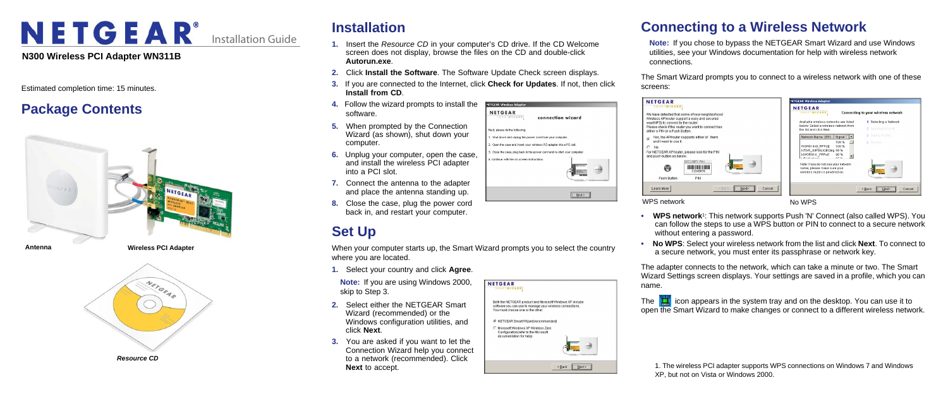

Installation Guide

## **Installation**

- **1.** Insert the *Resource CD* in your computer's CD drive. If the CD Welcome screen does not display, browse the files on the CD and double-click **Autorun.exe**.
- **2.** Click **Install the Software**. The Software Update Check screen displays.
- **3.** If you are connected to the Internet, click **Check for Updates**. **Install from CD**.
- **4.** Follow the wizard prompts to install the software.
- **5.** When prompted by the Connection Wizard (as shown), shut down your computer.
- **6.** Unplug your computer, open the case, and install the wireless PCI adapter into a PCI slot.
- **7.** Connect the antenna to the adapter and place the antenna standing up.
- **8.** Close the case, plug the power cord back in, and restart your computer.

# **Set Up**

When your computer starts up, the Smart Wizard prompts you to select the country where you are located.

> **NETGEAR** SMARTWIZARD

> > You must choose one or the other. C NETGEAR Smart Wizard(recommended) C. Microsoft Windows XP Wireless Zerr Configuration(refer to the Microsoft documentation for help

Both the NETGEAR product and Microsoft Windows XP include software you can use to manage your wireless connections

 $\overline{\phantom{a}}$ 

Eack <u>Next</u>

- **1.** Select your country and click **Agree**.
- **Note:** If you are using Windows 2000, skip to Step 3.
- **2.** Select either the NETGEAR Smart Wizard (recommended) or the Windows configuration utilities, and click **Next**.
- **3.** You are asked if you want to let the Connection Wizard help you connect to a network (recommended). Click **Next** to accept.

### NETGEAR Wireless Adapter NETGEAR connectio ext, please do the following . Shut down and unplug the power cord from your cor Onen the case and insert your wireless PCI adapter Close the case intuit back in the power cord and re-Continue with the on-screen instructions

| If not, then click                   | screens:                                                                                           |
|--------------------------------------|----------------------------------------------------------------------------------------------------|
| n wizard                             | <b>NETGEAR</b><br><b>SMARTWIZARD</b><br>We have detected that some<br>Wireless AP/router support a |
|                                      | way(WPS) to connect to the r<br>Please check if the router you<br>either a PIN or a Push Button    |
| puter.<br>to a PCI slot.             | Yes, the AP/router suppo<br>G<br>and I want to use it.<br>No<br>C                                  |
| art vour computer.<br><b>NITOEAR</b> | For NETGEAR AP/router, plea<br>and push button as below.<br>SEC<br>Ⅲ                               |
| Next                                 | Push Button<br>Learn More                                                                          |
|                                      | <b>WPS network</b>                                                                                 |

- 
- 

The  $\mathbf{H}$  icon appears in the system tray and on the desktop. You can use it to open the Smart Wizard to make changes or connect to a different wireless network.

# **Connecting to a Wireless Network**

**Note:** If you chose to bypass the NETGEAR Smart Wizard and use Windows utilities, see your Windows documentation for help with wireless network connections.

is:

The Smart Wizard prompts you to connect to a wireless network with one of these



etwork **No WPS** 

**• WPS network**1: This network supports Push 'N' Connect (also called WPS). You can follow the steps to use a WPS button or PIN to connect to a secure network without entering a password.

**• No WPS**: Select your wireless network from the list and click **Next**. To connect to a secure network, you must enter its passphrase or network key.

The adapter connects to the network, which can take a minute or two. The Smart Wizard Settings screen displays. Your settings are saved in a profile, which you can

name.



1. The wireless PCI adapter supports WPS connections on Windows 7 and Windows XP, but not on Vista or Windows 2000.

#### **N300 Wireless PCI Adapter WN311B**

Estimated completion time: 15 minutes.

## **Package Contents**